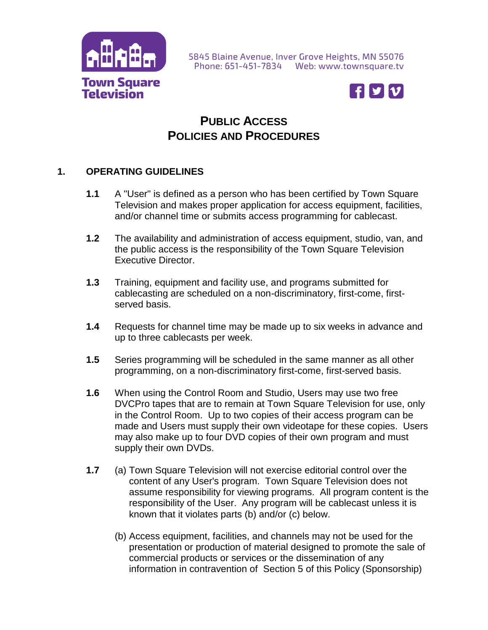

5845 Blaine Avenue, Inver Grove Heights, MN 55076 Phone: 651-451-7834 Web: www.townsquare.tv



## **PUBLIC ACCESS POLICIES AND PROCEDURES**

#### **1. OPERATING GUIDELINES**

- **1.1** A "User" is defined as a person who has been certified by Town Square Television and makes proper application for access equipment, facilities, and/or channel time or submits access programming for cablecast.
- **1.2** The availability and administration of access equipment, studio, van, and the public access is the responsibility of the Town Square Television Executive Director.
- **1.3** Training, equipment and facility use, and programs submitted for cablecasting are scheduled on a non-discriminatory, first-come, firstserved basis.
- **1.4** Requests for channel time may be made up to six weeks in advance and up to three cablecasts per week.
- **1.5** Series programming will be scheduled in the same manner as all other programming, on a non-discriminatory first-come, first-served basis.
- **1.6** When using the Control Room and Studio, Users may use two free DVCPro tapes that are to remain at Town Square Television for use, only in the Control Room. Up to two copies of their access program can be made and Users must supply their own videotape for these copies. Users may also make up to four DVD copies of their own program and must supply their own DVDs.
- **1.7** (a) Town Square Television will not exercise editorial control over the content of any User's program. Town Square Television does not assume responsibility for viewing programs. All program content is the responsibility of the User. Any program will be cablecast unless it is known that it violates parts (b) and/or (c) below.
	- (b) Access equipment, facilities, and channels may not be used for the presentation or production of material designed to promote the sale of commercial products or services or the dissemination of any information in contravention of Section 5 of this Policy (Sponsorship)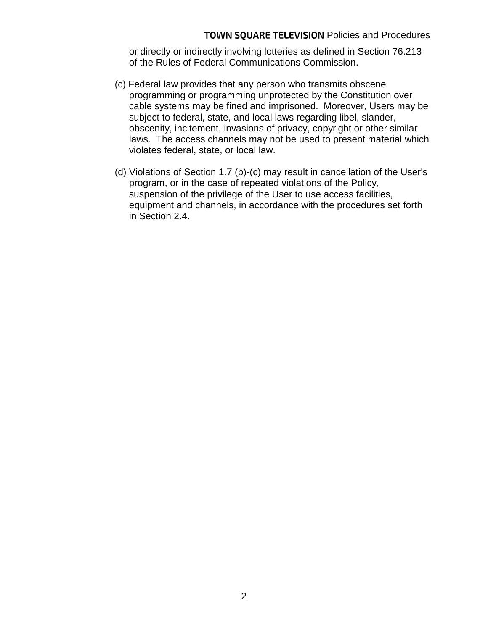or directly or indirectly involving lotteries as defined in Section 76.213 of the Rules of Federal Communications Commission.

- (c) Federal law provides that any person who transmits obscene programming or programming unprotected by the Constitution over cable systems may be fined and imprisoned. Moreover, Users may be subject to federal, state, and local laws regarding libel, slander, obscenity, incitement, invasions of privacy, copyright or other similar laws. The access channels may not be used to present material which violates federal, state, or local law.
- (d) Violations of Section 1.7 (b)-(c) may result in cancellation of the User's program, or in the case of repeated violations of the Policy, suspension of the privilege of the User to use access facilities, equipment and channels, in accordance with the procedures set forth in Section 2.4.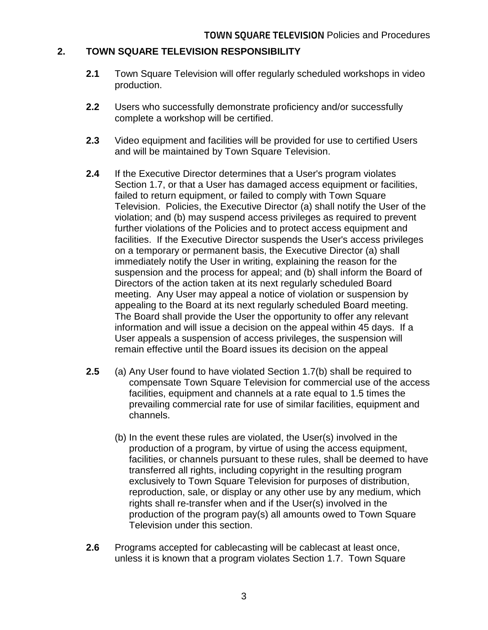#### **2. TOWN SQUARE TELEVISION RESPONSIBILITY**

- **2.1** Town Square Television will offer regularly scheduled workshops in video production.
- **2.2** Users who successfully demonstrate proficiency and/or successfully complete a workshop will be certified.
- **2.3** Video equipment and facilities will be provided for use to certified Users and will be maintained by Town Square Television.
- **2.4** If the Executive Director determines that a User's program violates Section 1.7, or that a User has damaged access equipment or facilities, failed to return equipment, or failed to comply with Town Square Television. Policies, the Executive Director (a) shall notify the User of the violation; and (b) may suspend access privileges as required to prevent further violations of the Policies and to protect access equipment and facilities. If the Executive Director suspends the User's access privileges on a temporary or permanent basis, the Executive Director (a) shall immediately notify the User in writing, explaining the reason for the suspension and the process for appeal; and (b) shall inform the Board of Directors of the action taken at its next regularly scheduled Board meeting. Any User may appeal a notice of violation or suspension by appealing to the Board at its next regularly scheduled Board meeting. The Board shall provide the User the opportunity to offer any relevant information and will issue a decision on the appeal within 45 days. If a User appeals a suspension of access privileges, the suspension will remain effective until the Board issues its decision on the appeal
- **2.5** (a) Any User found to have violated Section 1.7(b) shall be required to compensate Town Square Television for commercial use of the access facilities, equipment and channels at a rate equal to 1.5 times the prevailing commercial rate for use of similar facilities, equipment and channels.
	- (b) In the event these rules are violated, the User(s) involved in the production of a program, by virtue of using the access equipment, facilities, or channels pursuant to these rules, shall be deemed to have transferred all rights, including copyright in the resulting program exclusively to Town Square Television for purposes of distribution, reproduction, sale, or display or any other use by any medium, which rights shall re-transfer when and if the User(s) involved in the production of the program pay(s) all amounts owed to Town Square Television under this section.
- **2.6** Programs accepted for cablecasting will be cablecast at least once, unless it is known that a program violates Section 1.7. Town Square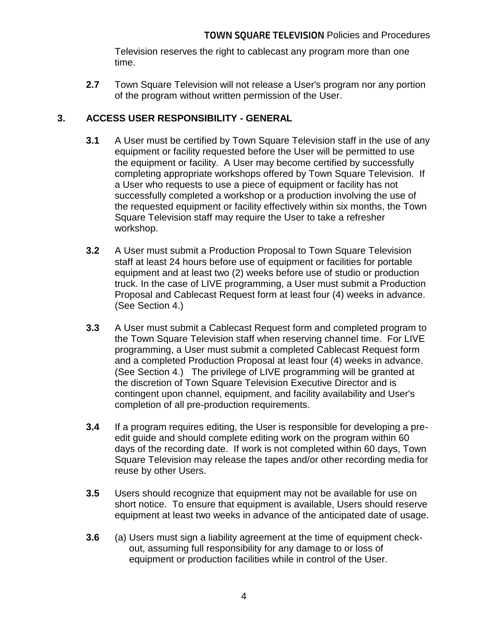Television reserves the right to cablecast any program more than one time.

**2.7** Town Square Television will not release a User's program nor any portion of the program without written permission of the User.

### **3. ACCESS USER RESPONSIBILITY - GENERAL**

- **3.1** A User must be certified by Town Square Television staff in the use of any equipment or facility requested before the User will be permitted to use the equipment or facility. A User may become certified by successfully completing appropriate workshops offered by Town Square Television. If a User who requests to use a piece of equipment or facility has not successfully completed a workshop or a production involving the use of the requested equipment or facility effectively within six months, the Town Square Television staff may require the User to take a refresher workshop.
- **3.2** A User must submit a Production Proposal to Town Square Television staff at least 24 hours before use of equipment or facilities for portable equipment and at least two (2) weeks before use of studio or production truck. In the case of LIVE programming, a User must submit a Production Proposal and Cablecast Request form at least four (4) weeks in advance. (See Section 4.)
- **3.3** A User must submit a Cablecast Request form and completed program to the Town Square Television staff when reserving channel time. For LIVE programming, a User must submit a completed Cablecast Request form and a completed Production Proposal at least four (4) weeks in advance. (See Section 4.) The privilege of LIVE programming will be granted at the discretion of Town Square Television Executive Director and is contingent upon channel, equipment, and facility availability and User's completion of all pre-production requirements.
- **3.4** If a program requires editing, the User is responsible for developing a preedit guide and should complete editing work on the program within 60 days of the recording date. If work is not completed within 60 days, Town Square Television may release the tapes and/or other recording media for reuse by other Users.
- **3.5** Users should recognize that equipment may not be available for use on short notice. To ensure that equipment is available, Users should reserve equipment at least two weeks in advance of the anticipated date of usage.
- **3.6** (a) Users must sign a liability agreement at the time of equipment checkout, assuming full responsibility for any damage to or loss of equipment or production facilities while in control of the User.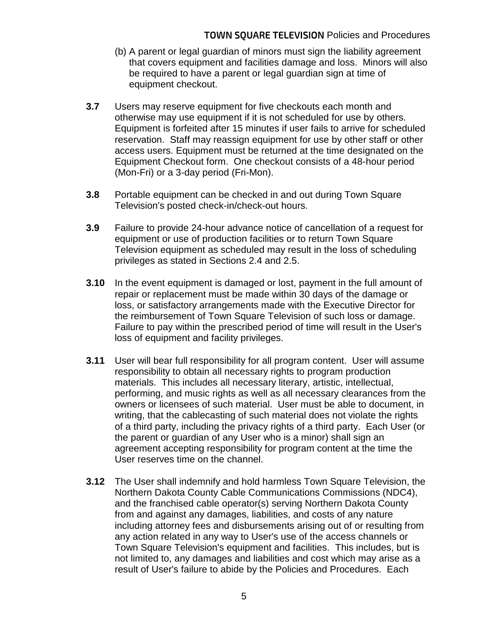- (b) A parent or legal guardian of minors must sign the liability agreement that covers equipment and facilities damage and loss. Minors will also be required to have a parent or legal guardian sign at time of equipment checkout.
- **3.7** Users may reserve equipment for five checkouts each month and otherwise may use equipment if it is not scheduled for use by others. Equipment is forfeited after 15 minutes if user fails to arrive for scheduled reservation. Staff may reassign equipment for use by other staff or other access users. Equipment must be returned at the time designated on the Equipment Checkout form. One checkout consists of a 48-hour period (Mon-Fri) or a 3-day period (Fri-Mon).
- **3.8** Portable equipment can be checked in and out during Town Square Television's posted check-in/check-out hours.
- **3.9** Failure to provide 24-hour advance notice of cancellation of a request for equipment or use of production facilities or to return Town Square Television equipment as scheduled may result in the loss of scheduling privileges as stated in Sections 2.4 and 2.5.
- **3.10** In the event equipment is damaged or lost, payment in the full amount of repair or replacement must be made within 30 days of the damage or loss, or satisfactory arrangements made with the Executive Director for the reimbursement of Town Square Television of such loss or damage. Failure to pay within the prescribed period of time will result in the User's loss of equipment and facility privileges.
- **3.11** User will bear full responsibility for all program content. User will assume responsibility to obtain all necessary rights to program production materials. This includes all necessary literary, artistic, intellectual, performing, and music rights as well as all necessary clearances from the owners or licensees of such material. User must be able to document, in writing, that the cablecasting of such material does not violate the rights of a third party, including the privacy rights of a third party. Each User (or the parent or guardian of any User who is a minor) shall sign an agreement accepting responsibility for program content at the time the User reserves time on the channel.
- **3.12** The User shall indemnify and hold harmless Town Square Television, the Northern Dakota County Cable Communications Commissions (NDC4), and the franchised cable operator(s) serving Northern Dakota County from and against any damages, liabilities, and costs of any nature including attorney fees and disbursements arising out of or resulting from any action related in any way to User's use of the access channels or Town Square Television's equipment and facilities. This includes, but is not limited to, any damages and liabilities and cost which may arise as a result of User's failure to abide by the Policies and Procedures. Each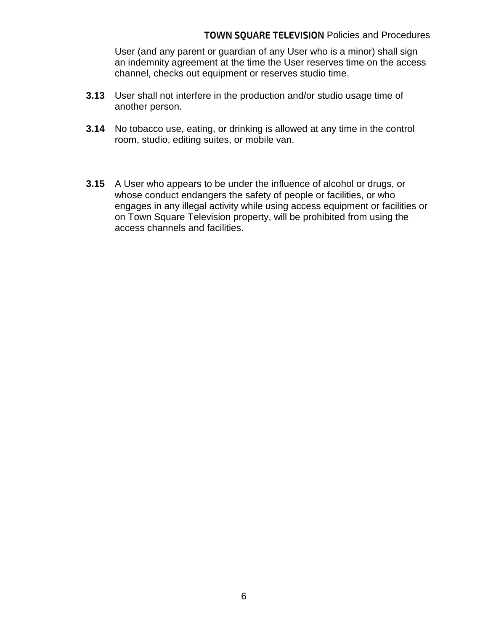#### TOWN SQUARE TELEVISION Policies and Procedures

User (and any parent or guardian of any User who is a minor) shall sign an indemnity agreement at the time the User reserves time on the access channel, checks out equipment or reserves studio time.

- **3.13** User shall not interfere in the production and/or studio usage time of another person.
- **3.14** No tobacco use, eating, or drinking is allowed at any time in the control room, studio, editing suites, or mobile van.
- **3.15** A User who appears to be under the influence of alcohol or drugs, or whose conduct endangers the safety of people or facilities, or who engages in any illegal activity while using access equipment or facilities or on Town Square Television property, will be prohibited from using the access channels and facilities.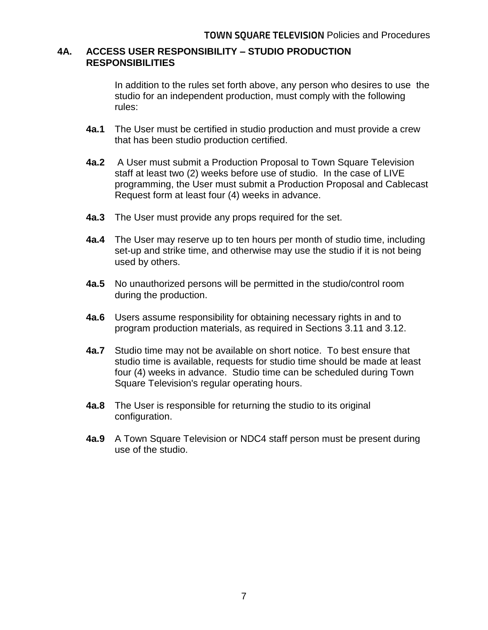#### **4A. ACCESS USER RESPONSIBILITY – STUDIO PRODUCTION RESPONSIBILITIES**

In addition to the rules set forth above, any person who desires to use the studio for an independent production, must comply with the following rules:

- **4a.1** The User must be certified in studio production and must provide a crew that has been studio production certified.
- **4a.2** A User must submit a Production Proposal to Town Square Television staff at least two (2) weeks before use of studio. In the case of LIVE programming, the User must submit a Production Proposal and Cablecast Request form at least four (4) weeks in advance.
- **4a.3** The User must provide any props required for the set.
- **4a.4** The User may reserve up to ten hours per month of studio time, including set-up and strike time, and otherwise may use the studio if it is not being used by others.
- **4a.5** No unauthorized persons will be permitted in the studio/control room during the production.
- **4a.6** Users assume responsibility for obtaining necessary rights in and to program production materials, as required in Sections 3.11 and 3.12.
- **4a.7** Studio time may not be available on short notice. To best ensure that studio time is available, requests for studio time should be made at least four (4) weeks in advance. Studio time can be scheduled during Town Square Television's regular operating hours.
- **4a.8** The User is responsible for returning the studio to its original configuration.
- **4a.9** A Town Square Television or NDC4 staff person must be present during use of the studio.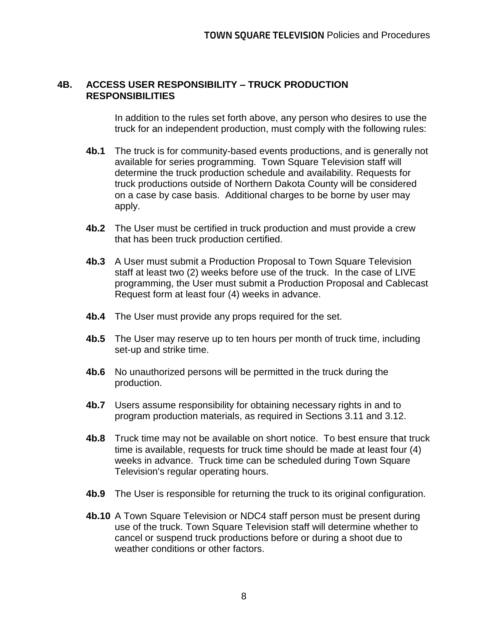#### **4B. ACCESS USER RESPONSIBILITY – TRUCK PRODUCTION RESPONSIBILITIES**

In addition to the rules set forth above, any person who desires to use the truck for an independent production, must comply with the following rules:

- **4b.1** The truck is for community-based events productions, and is generally not available for series programming. Town Square Television staff will determine the truck production schedule and availability. Requests for truck productions outside of Northern Dakota County will be considered on a case by case basis. Additional charges to be borne by user may apply.
- **4b.2** The User must be certified in truck production and must provide a crew that has been truck production certified.
- **4b.3** A User must submit a Production Proposal to Town Square Television staff at least two (2) weeks before use of the truck. In the case of LIVE programming, the User must submit a Production Proposal and Cablecast Request form at least four (4) weeks in advance.
- **4b.4** The User must provide any props required for the set.
- **4b.5** The User may reserve up to ten hours per month of truck time, including set-up and strike time.
- **4b.6** No unauthorized persons will be permitted in the truck during the production.
- **4b.7** Users assume responsibility for obtaining necessary rights in and to program production materials, as required in Sections 3.11 and 3.12.
- **4b.8** Truck time may not be available on short notice. To best ensure that truck time is available, requests for truck time should be made at least four (4) weeks in advance. Truck time can be scheduled during Town Square Television's regular operating hours.
- **4b.9** The User is responsible for returning the truck to its original configuration.
- **4b.10** A Town Square Television or NDC4 staff person must be present during use of the truck. Town Square Television staff will determine whether to cancel or suspend truck productions before or during a shoot due to weather conditions or other factors.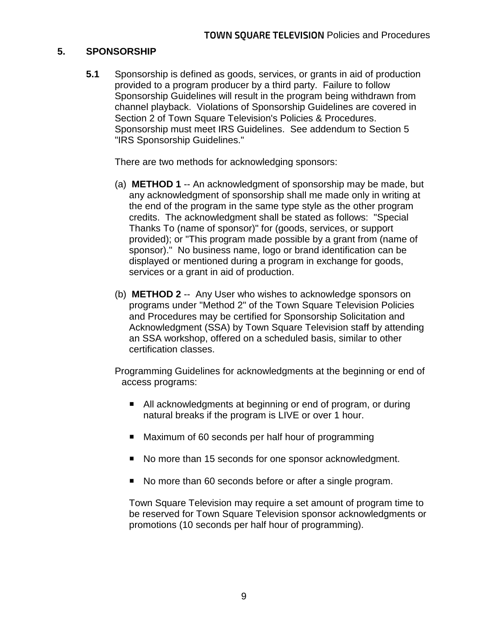#### **5. SPONSORSHIP**

**5.1** Sponsorship is defined as goods, services, or grants in aid of production provided to a program producer by a third party. Failure to follow Sponsorship Guidelines will result in the program being withdrawn from channel playback. Violations of Sponsorship Guidelines are covered in Section 2 of Town Square Television's Policies & Procedures. Sponsorship must meet IRS Guidelines. See addendum to Section 5 "IRS Sponsorship Guidelines."

There are two methods for acknowledging sponsors:

- (a) **METHOD 1** -- An acknowledgment of sponsorship may be made, but any acknowledgment of sponsorship shall me made only in writing at the end of the program in the same type style as the other program credits. The acknowledgment shall be stated as follows: "Special Thanks To (name of sponsor)" for (goods, services, or support provided); or "This program made possible by a grant from (name of sponsor)." No business name, logo or brand identification can be displayed or mentioned during a program in exchange for goods, services or a grant in aid of production.
- (b) **METHOD 2** -- Any User who wishes to acknowledge sponsors on programs under "Method 2" of the Town Square Television Policies and Procedures may be certified for Sponsorship Solicitation and Acknowledgment (SSA) by Town Square Television staff by attending an SSA workshop, offered on a scheduled basis, similar to other certification classes.

Programming Guidelines for acknowledgments at the beginning or end of access programs:

- All acknowledgments at beginning or end of program, or during natural breaks if the program is LIVE or over 1 hour.
- Maximum of 60 seconds per half hour of programming
- No more than 15 seconds for one sponsor acknowledgment.
- No more than 60 seconds before or after a single program.

Town Square Television may require a set amount of program time to be reserved for Town Square Television sponsor acknowledgments or promotions (10 seconds per half hour of programming).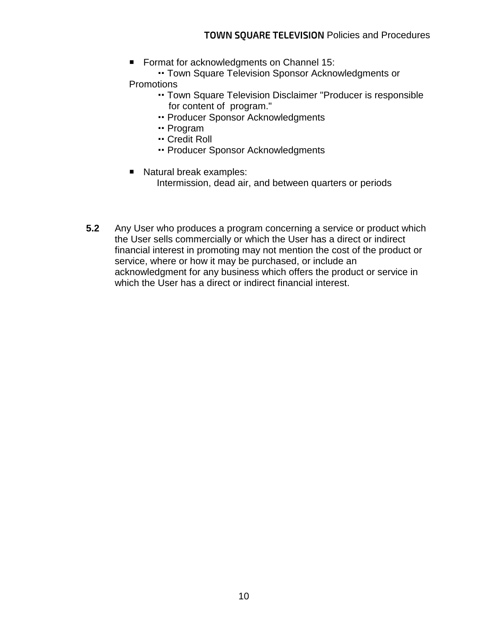■ Format for acknowledgments on Channel 15:

 Town Square Television Sponsor Acknowledgments or **Promotions** 

- Town Square Television Disclaimer "Producer is responsible for content of program."
- Producer Sponsor Acknowledgments
- Program
- Credit Roll
- Producer Sponsor Acknowledgments
- Natural break examples: Intermission, dead air, and between quarters or periods
- **5.2** Any User who produces a program concerning a service or product which the User sells commercially or which the User has a direct or indirect financial interest in promoting may not mention the cost of the product or service, where or how it may be purchased, or include an acknowledgment for any business which offers the product or service in which the User has a direct or indirect financial interest.